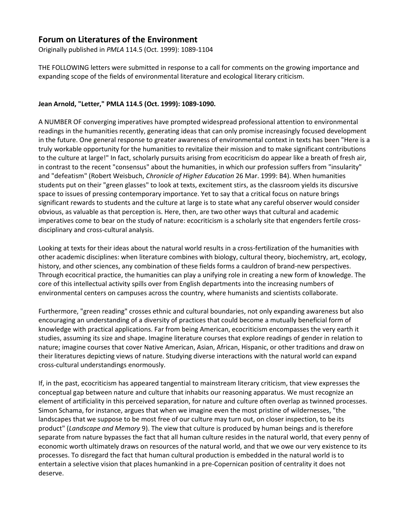# **Forum on Literatures of the Environment**

Originally published in *PMLA* 114.5 (Oct. 1999): 1089-1104

THE FOLLOWING letters were submitted in response to a call for comments on the growing importance and expanding scope of the fields of environmental literature and ecological literary criticism.

## **Jean Arnold, "Letter," PMLA 114.5 (Oct. 1999): 1089-1090.**

A NUMBER OF converging imperatives have prompted widespread professional attention to environmental readings in the humanities recently, generating ideas that can only promise increasingly focused development in the future. One general response to greater awareness of environmental context in texts has been "Here is a truly workable opportunity for the humanities to revitalize their mission and to make significant contributions to the culture at large!" In fact, scholarly pursuits arising from ecocriticism do appear like a breath of fresh air, in contrast to the recent "consensus" about the humanities, in which our profession suffers from "insularity" and "defeatism" (Robert Weisbuch, *Chronicle of Higher Education* 26 Mar. 1999: B4). When humanities students put on their "green glasses" to look at texts, excitement stirs, as the classroom yields its discursive space to issues of pressing contemporary importance. Yet to say that a critical focus on nature brings significant rewards to students and the culture at large is to state what any careful observer would consider obvious, as valuable as that perception is. Here, then, are two other ways that cultural and academic imperatives come to bear on the study of nature: ecocriticism is a scholarly site that engenders fertile crossdisciplinary and cross-cultural analysis.

Looking at texts for their ideas about the natural world results in a cross-fertilization of the humanities with other academic disciplines: when literature combines with biology, cultural theory, biochemistry, art, ecology, history, and other sciences, any combination of these fields forms a cauldron of brand-new perspectives. Through ecocritical practice, the humanities can play a unifying role in creating a new form of knowledge. The core of this intellectual activity spills over from English departments into the increasing numbers of environmental centers on campuses across the country, where humanists and scientists collaborate.

Furthermore, "green reading" crosses ethnic and cultural boundaries, not only expanding awareness but also encouraging an understanding of a diversity of practices that could become a mutually beneficial form of knowledge with practical applications. Far from being American, ecocriticism encompasses the very earth it studies, assuming its size and shape. Imagine literature courses that explore readings of gender in relation to nature; imagine courses that cover Native American, Asian, African, Hispanic, or other traditions and draw on their literatures depicting views of nature. Studying diverse interactions with the natural world can expand cross-cultural understandings enormously.

If, in the past, ecocriticism has appeared tangential to mainstream literary criticism, that view expresses the conceptual gap between nature and culture that inhabits our reasoning apparatus. We must recognize an element of artificiality in this perceived separation, for nature and culture often overlap as twinned processes. Simon Schama, for instance, argues that when we imagine even the most pristine of wildernesses, "the landscapes that we suppose to be most free of our culture may turn out, on closer inspection, to be its product" (*Landscape and Memory* 9). The view that culture is produced by human beings and is therefore separate from nature bypasses the fact that all human culture resides in the natural world, that every penny of economic worth ultimately draws on resources of the natural world, and that we owe our very existence to its processes. To disregard the fact that human cultural production is embedded in the natural world is to entertain a selective vision that places humankind in a pre-Copernican position of centrality it does not deserve.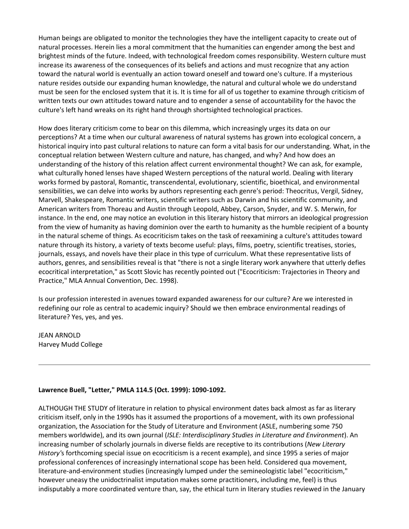Human beings are obligated to monitor the technologies they have the intelligent capacity to create out of natural processes. Herein lies a moral commitment that the humanities can engender among the best and brightest minds of the future. Indeed, with technological freedom comes responsibility. Western culture must increase its awareness of the consequences of its beliefs and actions and must recognize that any action toward the natural world is eventually an action toward oneself and toward one's culture. If a mysterious nature resides outside our expanding human knowledge, the natural and cultural whole we do understand must be seen for the enclosed system that it is. It is time for all of us together to examine through criticism of written texts our own attitudes toward nature and to engender a sense of accountability for the havoc the culture's left hand wreaks on its right hand through shortsighted technological practices.

How does literary criticism come to bear on this dilemma, which increasingly urges its data on our perceptions? At a time when our cultural awareness of natural systems has grown into ecological concern, a historical inquiry into past cultural relations to nature can form a vital basis for our understanding. What, in the conceptual relation between Western culture and nature, has changed, and why? And how does an understanding of the history of this relation affect current environmental thought? We can ask, for example, what culturally honed lenses have shaped Western perceptions of the natural world. Dealing with literary works formed by pastoral, Romantic, transcendental, evolutionary, scientific, bioethical, and environmental sensibilities, we can delve into works by authors representing each genre's period: Theocritus, Vergil, Sidney, Marvell, Shakespeare, Romantic writers, scientific writers such as Darwin and his scientific community, and American writers from Thoreau and Austin through Leopold, Abbey, Carson, Snyder, and W. S. Merwin, for instance. In the end, one may notice an evolution in this literary history that mirrors an ideological progression from the view of humanity as having dominion over the earth to humanity as the humble recipient of a bounty in the natural scheme of things. As ecocriticism takes on the task of reexamining a culture's attitudes toward nature through its history, a variety of texts become useful: plays, films, poetry, scientific treatises, stories, journals, essays, and novels have their place in this type of curriculum. What these representative lists of authors, genres, and sensibilities reveal is that "there is not a single literary work anywhere that utterly defies ecocritical interpretation," as Scott Slovic has recently pointed out ("Ecocriticism: Trajectories in Theory and Practice," MLA Annual Convention, Dec. 1998).

Is our profession interested in avenues toward expanded awareness for our culture? Are we interested in redefining our role as central to academic inquiry? Should we then embrace environmental readings of literature? Yes, yes, and yes.

JEAN ARNOLD Harvey Mudd College

### **Lawrence Buell, "Letter," PMLA 114.5 (Oct. 1999): 1090-1092.**

ALTHOUGH THE STUDY of literature in relation to physical environment dates back almost as far as literary criticism itself, only in the 1990s has it assumed the proportions of a movement, with its own professional organization, the Association for the Study of Literature and Environment (ASLE, numbering some 750 members worldwide), and its own journal (*ISLE: Interdisciplinary Studies in Literature and Environment*). An increasing number of scholarly journals in diverse fields are receptive to its contributions (*New Literary History'*s forthcoming special issue on ecocriticism is a recent example), and since 1995 a series of major professional conferences of increasingly international scope has been held. Considered qua movement, literature-and-environment studies (increasingly lumped under the semineologistic label "ecocriticism," however uneasy the unidoctrinalist imputation makes some practitioners, including me, feel) is thus indisputably a more coordinated venture than, say, the ethical turn in literary studies reviewed in the January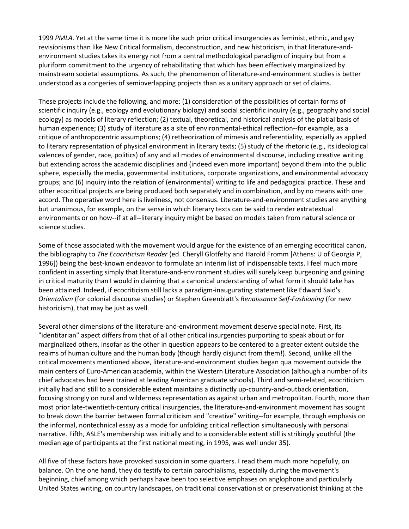1999 *PMLA*. Yet at the same time it is more like such prior critical insurgencies as feminist, ethnic, and gay revisionisms than like New Critical formalism, deconstruction, and new historicism, in that literature-andenvironment studies takes its energy not from a central methodological paradigm of inquiry but from a pluriform commitment to the urgency of rehabilitating that which has been effectively marginalized by mainstream societal assumptions. As such, the phenomenon of literature-and-environment studies is better understood as a congeries of semioverlapping projects than as a unitary approach or set of claims.

These projects include the following, and more: (1) consideration of the possibilities of certain forms of scientific inquiry (e.g., ecology and evolutionary biology) and social scientific inquiry (e.g., geography and social ecology) as models of literary reflection; (2) textual, theoretical, and historical analysis of the platial basis of human experience; (3) study of literature as a site of environmental-ethical reflection--for example, as a critique of anthropocentric assumptions; (4) retheorization of mimesis and referentiality, especially as applied to literary representation of physical environment in literary texts; (5) study of the rhetoric (e.g., its ideological valences of gender, race, politics) of any and all modes of environmental discourse, including creative writing but extending across the academic disciplines and (indeed even more important) beyond them into the public sphere, especially the media, governmental institutions, corporate organizations, and environmental advocacy groups; and (6) inquiry into the relation of (environmental) writing to life and pedagogical practice. These and other ecocritical projects are being produced both separately and in combination, and by no means with one accord. The operative word here is liveliness, not consensus. Literature-and-environment studies are anything but unanimous, for example, on the sense in which literary texts can be said to render extratextual environments or on how--if at all--literary inquiry might be based on models taken from natural science or science studies.

Some of those associated with the movement would argue for the existence of an emerging ecocritical canon, the bibliography to *The Ecocriticism Reader* (ed. Cheryll Glotfelty and Harold Fromm [Athens: U of Georgia P, 1996]) being the best-known endeavor to formulate an interim list of indispensable texts. I feel much more confident in asserting simply that literature-and-environment studies will surely keep burgeoning and gaining in critical maturity than I would in claiming that a canonical understanding of what form it should take has been attained. Indeed, if ecocriticism still lacks a paradigm-inaugurating statement like Edward Said's *Orientalism* (for colonial discourse studies) or Stephen Greenblatt's *Renaissance Self-Fashioning* (for new historicism), that may be just as well.

Several other dimensions of the literature-and-environment movement deserve special note. First, its "identitarian" aspect differs from that of all other critical insurgencies purporting to speak about or for marginalized others, insofar as the other in question appears to be centered to a greater extent outside the realms of human culture and the human body (though hardly disjunct from them!). Second, unlike all the critical movements mentioned above, literature-and-environment studies began qua movement outside the main centers of Euro-American academia, within the Western Literature Association (although a number of its chief advocates had been trained at leading American graduate schools). Third and semi-related, ecocriticism initially had and still to a considerable extent maintains a distinctly up-country-and-outback orientation, focusing strongly on rural and wilderness representation as against urban and metropolitan. Fourth, more than most prior late-twentieth-century critical insurgencies, the literature-and-environment movement has sought to break down the barrier between formal criticism and "creative" writing--for example, through emphasis on the informal, nontechnical essay as a mode for unfolding critical reflection simultaneously with personal narrative. Fifth, ASLE's membership was initially and to a considerable extent still is strikingly youthful (the median age of participants at the first national meeting, in 1995, was well under 35).

All five of these factors have provoked suspicion in some quarters. I read them much more hopefully, on balance. On the one hand, they do testify to certain parochialisms, especially during the movement's beginning, chief among which perhaps have been too selective emphases on anglophone and particularly United States writing, on country landscapes, on traditional conservationist or preservationist thinking at the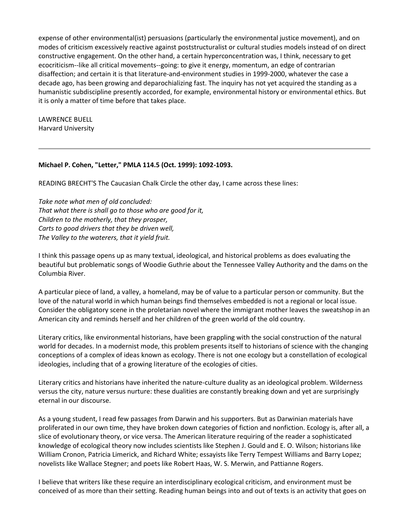expense of other environmental(ist) persuasions (particularly the environmental justice movement), and on modes of criticism excessively reactive against poststructuralist or cultural studies models instead of on direct constructive engagement. On the other hand, a certain hyperconcentration was, I think, necessary to get ecocriticism--like all critical movements--going: to give it energy, momentum, an edge of contrarian disaffection; and certain it is that literature-and-environment studies in 1999-2000, whatever the case a decade ago, has been growing and deparochializing fast. The inquiry has not yet acquired the standing as a humanistic subdiscipline presently accorded, for example, environmental history or environmental ethics. But it is only a matter of time before that takes place.

LAWRENCE BUELL Harvard University

### **Michael P. Cohen, "Letter," PMLA 114.5 (Oct. 1999): 1092-1093.**

READING BRECHT'S The Caucasian Chalk Circle the other day, I came across these lines:

*Take note what men of old concluded: That what there is shall go to those who are good for it, Children to the motherly, that they prosper, Carts to good drivers that they be driven well, The Valley to the waterers, that it yield fruit.*

I think this passage opens up as many textual, ideological, and historical problems as does evaluating the beautiful but problematic songs of Woodie Guthrie about the Tennessee Valley Authority and the dams on the Columbia River.

A particular piece of land, a valley, a homeland, may be of value to a particular person or community. But the love of the natural world in which human beings find themselves embedded is not a regional or local issue. Consider the obligatory scene in the proletarian novel where the immigrant mother leaves the sweatshop in an American city and reminds herself and her children of the green world of the old country.

Literary critics, like environmental historians, have been grappling with the social construction of the natural world for decades. In a modernist mode, this problem presents itself to historians of science with the changing conceptions of a complex of ideas known as ecology. There is not one ecology but a constellation of ecological ideologies, including that of a growing literature of the ecologies of cities.

Literary critics and historians have inherited the nature-culture duality as an ideological problem. Wilderness versus the city, nature versus nurture: these dualities are constantly breaking down and yet are surprisingly eternal in our discourse.

As a young student, I read few passages from Darwin and his supporters. But as Darwinian materials have proliferated in our own time, they have broken down categories of fiction and nonfiction. Ecology is, after all, a slice of evolutionary theory, or vice versa. The American literature requiring of the reader a sophisticated knowledge of ecological theory now includes scientists like Stephen J. Gould and E. O. Wilson; historians like William Cronon, Patricia Limerick, and Richard White; essayists like Terry Tempest Williams and Barry Lopez; novelists like Wallace Stegner; and poets like Robert Haas, W. S. Merwin, and Pattianne Rogers.

I believe that writers like these require an interdisciplinary ecological criticism, and environment must be conceived of as more than their setting. Reading human beings into and out of texts is an activity that goes on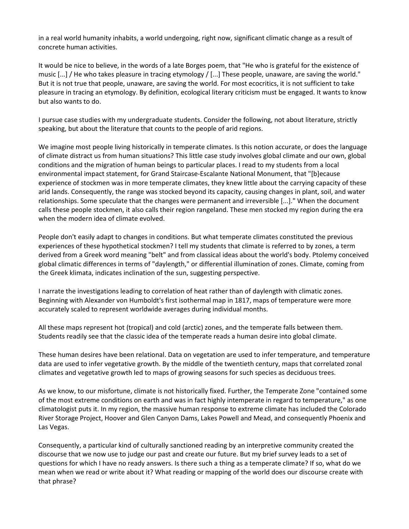in a real world humanity inhabits, a world undergoing, right now, significant climatic change as a result of concrete human activities.

It would be nice to believe, in the words of a late Borges poem, that "He who is grateful for the existence of music [...] / He who takes pleasure in tracing etymology / [...] These people, unaware, are saving the world." But it is not true that people, unaware, are saving the world. For most ecocritics, it is not sufficient to take pleasure in tracing an etymology. By definition, ecological literary criticism must be engaged. It wants to know but also wants to do.

I pursue case studies with my undergraduate students. Consider the following, not about literature, strictly speaking, but about the literature that counts to the people of arid regions.

We imagine most people living historically in temperate climates. Is this notion accurate, or does the language of climate distract us from human situations? This little case study involves global climate and our own, global conditions and the migration of human beings to particular places. I read to my students from a local environmental impact statement, for Grand Staircase-Escalante National Monument, that "[b]ecause experience of stockmen was in more temperate climates, they knew little about the carrying capacity of these arid lands. Consequently, the range was stocked beyond its capacity, causing changes in plant, soil, and water relationships. Some speculate that the changes were permanent and irreversible [...]." When the document calls these people stockmen, it also calls their region rangeland. These men stocked my region during the era when the modern idea of climate evolved.

People don't easily adapt to changes in conditions. But what temperate climates constituted the previous experiences of these hypothetical stockmen? I tell my students that climate is referred to by zones, a term derived from a Greek word meaning "belt" and from classical ideas about the world's body. Ptolemy conceived global climatic differences in terms of "daylength," or differential illumination of zones. Climate, coming from the Greek klimata, indicates inclination of the sun, suggesting perspective.

I narrate the investigations leading to correlation of heat rather than of daylength with climatic zones. Beginning with Alexander von Humboldt's first isothermal map in 1817, maps of temperature were more accurately scaled to represent worldwide averages during individual months.

All these maps represent hot (tropical) and cold (arctic) zones, and the temperate falls between them. Students readily see that the classic idea of the temperate reads a human desire into global climate.

These human desires have been relational. Data on vegetation are used to infer temperature, and temperature data are used to infer vegetative growth. By the middle of the twentieth century, maps that correlated zonal climates and vegetative growth led to maps of growing seasons for such species as deciduous trees.

As we know, to our misfortune, climate is not historically fixed. Further, the Temperate Zone "contained some of the most extreme conditions on earth and was in fact highly intemperate in regard to temperature," as one climatologist puts it. In my region, the massive human response to extreme climate has included the Colorado River Storage Project, Hoover and Glen Canyon Dams, Lakes Powell and Mead, and consequently Phoenix and Las Vegas.

Consequently, a particular kind of culturally sanctioned reading by an interpretive community created the discourse that we now use to judge our past and create our future. But my brief survey leads to a set of questions for which I have no ready answers. Is there such a thing as a temperate climate? If so, what do we mean when we read or write about it? What reading or mapping of the world does our discourse create with that phrase?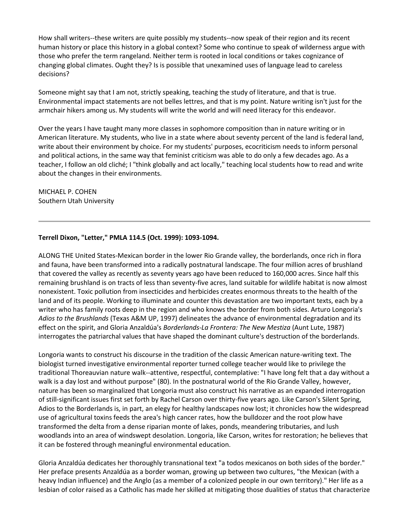How shall writers--these writers are quite possibly my students--now speak of their region and its recent human history or place this history in a global context? Some who continue to speak of wilderness argue with those who prefer the term rangeland. Neither term is rooted in local conditions or takes cognizance of changing global climates. Ought they? Is is possible that unexamined uses of language lead to careless decisions?

Someone might say that I am not, strictly speaking, teaching the study of literature, and that is true. Environmental impact statements are not belles lettres, and that is my point. Nature writing isn't just for the armchair hikers among us. My students will write the world and will need literacy for this endeavor.

Over the years I have taught many more classes in sophomore composition than in nature writing or in American literature. My students, who live in a state where about seventy percent of the land is federal land, write about their environment by choice. For my students' purposes, ecocriticism needs to inform personal and political actions, in the same way that feminist criticism was able to do only a few decades ago. As a teacher, I follow an old cliché; I "think globally and act locally," teaching local students how to read and write about the changes in their environments.

MICHAEL P. COHEN Southern Utah University

### **Terrell Dixon, "Letter," PMLA 114.5 (Oct. 1999): 1093-1094.**

ALONG THE United States-Mexican border in the lower Rio Grande valley, the borderlands, once rich in flora and fauna, have been transformed into a radically postnatural landscape. The four million acres of brushland that covered the valley as recently as seventy years ago have been reduced to 160,000 acres. Since half this remaining brushland is on tracts of less than seventy-five acres, land suitable for wildlife habitat is now almost nonexistent. Toxic pollution from insecticides and herbicides creates enormous threats to the health of the land and of its people. Working to illuminate and counter this devastation are two important texts, each by a writer who has family roots deep in the region and who knows the border from both sides. Arturo Longoria's *Adios to the Brushlands* (Texas A&M UP, 1997) delineates the advance of environmental degradation and its effect on the spirit, and Gloria Anzaldúa's *Borderlands-La Frontera: The New Mestiza* (Aunt Lute, 1987) interrogates the patriarchal values that have shaped the dominant culture's destruction of the borderlands.

Longoria wants to construct his discourse in the tradition of the classic American nature-writing text. The biologist turned investigative environmental reporter turned college teacher would like to privilege the traditional Thoreauvian nature walk--attentive, respectful, contemplative: "I have long felt that a day without a walk is a day lost and without purpose" (80). In the postnatural world of the Rio Grande Valley, however, nature has been so marginalized that Longoria must also construct his narrative as an expanded interrogation of still-significant issues first set forth by Rachel Carson over thirty-five years ago. Like Carson's Silent Spring, Adios to the Borderlands is, in part, an elegy for healthy landscapes now lost; it chronicles how the widespread use of agricultural toxins feeds the area's high cancer rates, how the bulldozer and the root plow have transformed the delta from a dense riparian monte of lakes, ponds, meandering tributaries, and lush woodlands into an area of windswept desolation. Longoria, like Carson, writes for restoration; he believes that it can be fostered through meaningful environmental education.

Gloria Anzaldúa dedicates her thoroughly transnational text "a todos mexicanos on both sides of the border." Her preface presents Anzaldúa as a border woman, growing up between two cultures, "the Mexican (with a heavy Indian influence) and the Anglo (as a member of a colonized people in our own territory)." Her life as a lesbian of color raised as a Catholic has made her skilled at mitigating those dualities of status that characterize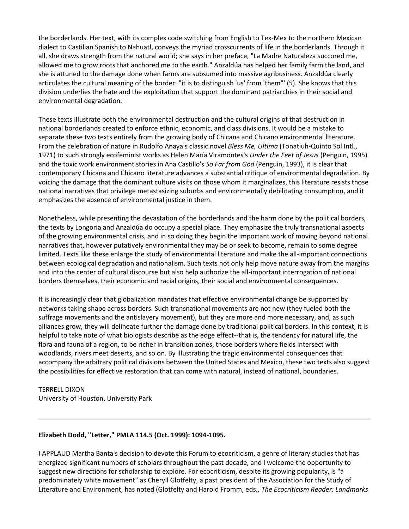the borderlands. Her text, with its complex code switching from English to Tex-Mex to the northern Mexican dialect to Castilian Spanish to Nahuatl, conveys the myriad crosscurrents of life in the borderlands. Through it all, she draws strength from the natural world; she says in her preface, "La Madre Naturaleza succored me, allowed me to grow roots that anchored me to the earth." Anzaldúa has helped her family farm the land, and she is attuned to the damage done when farms are subsumed into massive agribusiness. Anzaldúa clearly articulates the cultural meaning of the border: "it is to distinguish 'us' from 'them"' (5). She knows that this division underlies the hate and the exploitation that support the dominant patriarchies in their social and environmental degradation.

These texts illustrate both the environmental destruction and the cultural origins of that destruction in national borderlands created to enforce ethnic, economic, and class divisions. It would be a mistake to separate these two texts entirely from the growing body of Chicana and Chicano environmental literature. From the celebration of nature in Rudolfo Anaya's classic novel *Bless Me, Ultima* (Tonatiuh-Quinto Sol Intl., 1971) to such strongly ecofeminist works as Helen María Viramontes's *Under the Feet of Jesus* (Penguin, 1995) and the toxic work environment stories in Ana Castillo's *So Far from God* (Penguin, 1993), it is clear that contemporary Chicana and Chicano literature advances a substantial critique of environmental degradation. By voicing the damage that the dominant culture visits on those whom it marginalizes, this literature resists those national narratives that privilege metastasizing suburbs and environmentally debilitating consumption, and it emphasizes the absence of environmental justice in them.

Nonetheless, while presenting the devastation of the borderlands and the harm done by the political borders, the texts by Longoria and Anzaldúa do occupy a special place. They emphasize the truly transnational aspects of the growing environmental crisis, and in so doing they begin the important work of moving beyond national narratives that, however putatively environmental they may be or seek to become, remain to some degree limited. Texts like these enlarge the study of environmental literature and make the all-important connections between ecological degradation and nationalism. Such texts not only help move nature away from the margins and into the center of cultural discourse but also help authorize the all-important interrogation of national borders themselves, their economic and racial origins, their social and environmental consequences.

It is increasingly clear that globalization mandates that effective environmental change be supported by networks taking shape across borders. Such transnational movements are not new (they fueled both the suffrage movements and the antislavery movement), but they are more and more necessary, and, as such alliances grow, they will delineate further the damage done by traditional political borders. In this context, it is helpful to take note of what biologists describe as the edge effect--that is, the tendency for natural life, the flora and fauna of a region, to be richer in transition zones, those borders where fields intersect with woodlands, rivers meet deserts, and so on. By illustrating the tragic environmental consequences that accompany the arbitrary political divisions between the United States and Mexico, these two texts also suggest the possibilities for effective restoration that can come with natural, instead of national, boundaries.

## TERRELL DIXON University of Houston, University Park

### **Elizabeth Dodd, "Letter," PMLA 114.5 (Oct. 1999): 1094-1095.**

I APPLAUD Martha Banta's decision to devote this Forum to ecocriticism, a genre of literary studies that has energized significant numbers of scholars throughout the past decade, and I welcome the opportunity to suggest new directions for scholarship to explore. For ecocriticism, despite its growing popularity, is "a predominately white movement" as Cheryll Glotfelty, a past president of the Association for the Study of Literature and Environment, has noted (Glotfelty and Harold Fromm, eds., *The Ecocriticism Reader: Landmarks*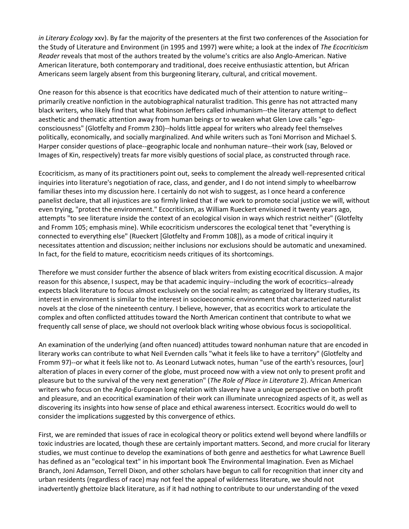*in Literary Ecology* xxv). By far the majority of the presenters at the first two conferences of the Association for the Study of Literature and Environment (in 1995 and 1997) were white; a look at the index of *The Ecocriticism Reader* reveals that most of the authors treated by the volume's critics are also Anglo-American. Native American literature, both contemporary and traditional, does receive enthusiastic attention, but African Americans seem largely absent from this burgeoning literary, cultural, and critical movement.

One reason for this absence is that ecocritics have dedicated much of their attention to nature writing- primarily creative nonfiction in the autobiographical naturalist tradition. This genre has not attracted many black writers, who likely find that what Robinson Jeffers called inhumanism--the literary attempt to deflect aesthetic and thematic attention away from human beings or to weaken what Glen Love calls "egoconsciousness" (Glotfelty and Fromm 230)--holds little appeal for writers who already feel themselves politically, economically, and socially marginalized. And while writers such as Toni Morrison and Michael S. Harper consider questions of place--geographic locale and nonhuman nature--their work (say, Beloved or Images of Kin, respectively) treats far more visibly questions of social place, as constructed through race.

Ecocriticism, as many of its practitioners point out, seeks to complement the already well-represented critical inquiries into literature's negotiation of race, class, and gender, and I do not intend simply to wheelbarrow familiar theses into my discussion here. I certainly do not wish to suggest, as I once heard a conference panelist declare, that all injustices are so firmly linked that if we work to promote social justice we will, without even trying, "protect the environment." Ecocriticism, as William Rueckert envisioned it twenty years ago, attempts "to see literature inside the context of an ecological vision in ways which restrict neither" (Glotfelty and Fromm 105; emphasis mine). While ecocriticism underscores the ecological tenet that "everything is connected to everything else" (Rueckert [Glotfelty and Fromm 108]), as a mode of critical inquiry it necessitates attention and discussion; neither inclusions nor exclusions should be automatic and unexamined. In fact, for the field to mature, ecocriticism needs critiques of its shortcomings.

Therefore we must consider further the absence of black writers from existing ecocritical discussion. A major reason for this absence, I suspect, may be that academic inquiry--including the work of ecocritics--already expects black literature to focus almost exclusively on the social realm; as categorized by literary studies, its interest in environment is similar to the interest in socioeconomic environment that characterized naturalist novels at the close of the nineteenth century. I believe, however, that as ecocritics work to articulate the complex and often conflicted attitudes toward the North American continent that contribute to what we frequently call sense of place, we should not overlook black writing whose obvious focus is sociopolitical.

An examination of the underlying (and often nuanced) attitudes toward nonhuman nature that are encoded in literary works can contribute to what Neil Evernden calls "what it feels like to have a territory" (Glotfelty and Fromm 97)--or what it feels like not to. As Leonard Lutwack notes, human "use of the earth's resources, [our] alteration of places in every corner of the globe, must proceed now with a view not only to present profit and pleasure but to the survival of the very next generation" (*The Role of Place in Literature* 2). African American writers who focus on the Anglo-European long relation with slavery have a unique perspective on both profit and pleasure, and an ecocritical examination of their work can illuminate unrecognized aspects of it, as well as discovering its insights into how sense of place and ethical awareness intersect. Ecocritics would do well to consider the implications suggested by this convergence of ethics.

First, we are reminded that issues of race in ecological theory or politics extend well beyond where landfills or toxic industries are located, though these are certainly important matters. Second, and more crucial for literary studies, we must continue to develop the examinations of both genre and aesthetics for what Lawrence Buell has defined as an "ecological text" in his important book The Environmental Imagination. Even as Michael Branch, Joni Adamson, Terrell Dixon, and other scholars have begun to call for recognition that inner city and urban residents (regardless of race) may not feel the appeal of wilderness literature, we should not inadvertently ghettoize black literature, as if it had nothing to contribute to our understanding of the vexed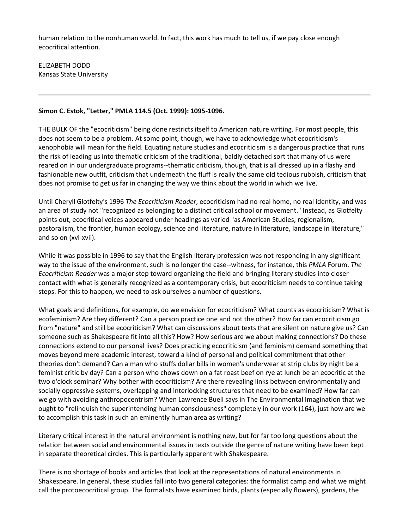human relation to the nonhuman world. In fact, this work has much to tell us, if we pay close enough ecocritical attention.

ELIZABETH DODD Kansas State University

### **Simon C. Estok, "Letter," PMLA 114.5 (Oct. 1999): 1095-1096.**

THE BULK OF the "ecocriticism" being done restricts itself to American nature writing. For most people, this does not seem to be a problem. At some point, though, we have to acknowledge what ecocriticism's xenophobia will mean for the field. Equating nature studies and ecocriticism is a dangerous practice that runs the risk of leading us into thematic criticism of the traditional, baldly detached sort that many of us were reared on in our undergraduate programs--thematic criticism, though, that is all dressed up in a flashy and fashionable new outfit, criticism that underneath the fluff is really the same old tedious rubbish, criticism that does not promise to get us far in changing the way we think about the world in which we live.

Until Cheryll Glotfelty's 1996 *The Ecocriticism Reader*, ecocriticism had no real home, no real identity, and was an area of study not "recognized as belonging to a distinct critical school or movement." Instead, as Glotfelty points out, ecocritical voices appeared under headings as varied "as American Studies, regionalism, pastoralism, the frontier, human ecology, science and literature, nature in literature, landscape in literature," and so on (xvi-xvii).

While it was possible in 1996 to say that the English literary profession was not responding in any significant way to the issue of the environment, such is no longer the case--witness, for instance, this *PMLA* Forum. *The Ecocriticism Reader* was a major step toward organizing the field and bringing literary studies into closer contact with what is generally recognized as a contemporary crisis, but ecocriticism needs to continue taking steps. For this to happen, we need to ask ourselves a number of questions.

What goals and definitions, for example, do we envision for ecocriticism? What counts as ecocriticism? What is ecofeminism? Are they different? Can a person practice one and not the other? How far can ecocriticism go from "nature" and still be ecocriticism? What can discussions about texts that are silent on nature give us? Can someone such as Shakespeare fit into all this? How? How serious are we about making connections? Do these connections extend to our personal lives? Does practicing ecocriticism (and feminism) demand something that moves beyond mere academic interest, toward a kind of personal and political commitment that other theories don't demand? Can a man who stuffs dollar bills in women's underwear at strip clubs by night be a feminist critic by day? Can a person who chows down on a fat roast beef on rye at lunch be an ecocritic at the two o'clock seminar? Why bother with ecocriticism? Are there revealing links between environmentally and socially oppressive systems, overlapping and interlocking structures that need to be examined? How far can we go with avoiding anthropocentrism? When Lawrence Buell says in The Environmental Imagination that we ought to "relinquish the superintending human consciousness" completely in our work (164), just how are we to accomplish this task in such an eminently human area as writing?

Literary critical interest in the natural environment is nothing new, but for far too long questions about the relation between social and environmental issues in texts outside the genre of nature writing have been kept in separate theoretical circles. This is particularly apparent with Shakespeare.

There is no shortage of books and articles that look at the representations of natural environments in Shakespeare. In general, these studies fall into two general categories: the formalist camp and what we might call the protoecocritical group. The formalists have examined birds, plants (especially flowers), gardens, the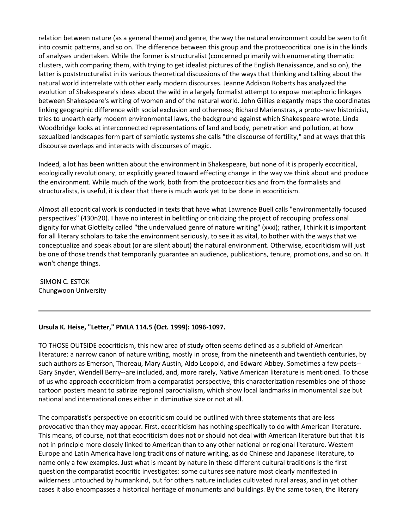relation between nature (as a general theme) and genre, the way the natural environment could be seen to fit into cosmic patterns, and so on. The difference between this group and the protoecocritical one is in the kinds of analyses undertaken. While the former is structuralist (concerned primarily with enumerating thematic clusters, with comparing them, with trying to get idealist pictures of the English Renaissance, and so on), the latter is poststructuralist in its various theoretical discussions of the ways that thinking and talking about the natural world interrelate with other early modern discourses. Jeanne Addison Roberts has analyzed the evolution of Shakespeare's ideas about the wild in a largely formalist attempt to expose metaphoric linkages between Shakespeare's writing of women and of the natural world. John Gillies elegantly maps the coordinates linking geographic difference with social exclusion and otherness; Richard Marienstras, a proto-new historicist, tries to unearth early modern environmental laws, the background against which Shakespeare wrote. Linda Woodbridge looks at interconnected representations of land and body, penetration and pollution, at how sexualized landscapes form part of semiotic systems she calls "the discourse of fertility," and at ways that this discourse overlaps and interacts with discourses of magic.

Indeed, a lot has been written about the environment in Shakespeare, but none of it is properly ecocritical, ecologically revolutionary, or explicitly geared toward effecting change in the way we think about and produce the environment. While much of the work, both from the protoecocritics and from the formalists and structuralists, is useful, it is clear that there is much work yet to be done in ecocriticism.

Almost all ecocritical work is conducted in texts that have what Lawrence Buell calls "environmentally focused perspectives" (430n20). I have no interest in belittling or criticizing the project of recouping professional dignity for what Glotfelty called "the undervalued genre of nature writing" (xxxi); rather, I think it is important for all literary scholars to take the environment seriously, to see it as vital, to bother with the ways that we conceptualize and speak about (or are silent about) the natural environment. Otherwise, ecocriticism will just be one of those trends that temporarily guarantee an audience, publications, tenure, promotions, and so on. It won't change things.

SIMON C. ESTOK Chungwoon University

#### **Ursula K. Heise, "Letter," PMLA 114.5 (Oct. 1999): 1096-1097.**

TO THOSE OUTSIDE ecocriticism, this new area of study often seems defined as a subfield of American literature: a narrow canon of nature writing, mostly in prose, from the nineteenth and twentieth centuries, by such authors as Emerson, Thoreau, Mary Austin, Aldo Leopold, and Edward Abbey. Sometimes a few poets-- Gary Snyder, Wendell Berry--are included, and, more rarely, Native American literature is mentioned. To those of us who approach ecocriticism from a comparatist perspective, this characterization resembles one of those cartoon posters meant to satirize regional parochialism, which show local landmarks in monumental size but national and international ones either in diminutive size or not at all.

The comparatist's perspective on ecocriticism could be outlined with three statements that are less provocative than they may appear. First, ecocriticism has nothing specifically to do with American literature. This means, of course, not that ecocriticism does not or should not deal with American literature but that it is not in principle more closely linked to American than to any other national or regional literature. Western Europe and Latin America have long traditions of nature writing, as do Chinese and Japanese literature, to name only a few examples. Just what is meant by nature in these different cultural traditions is the first question the comparatist ecocritic investigates: some cultures see nature most clearly manifested in wilderness untouched by humankind, but for others nature includes cultivated rural areas, and in yet other cases it also encompasses a historical heritage of monuments and buildings. By the same token, the literary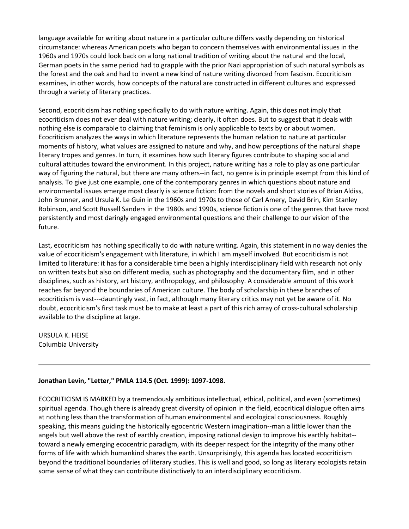language available for writing about nature in a particular culture differs vastly depending on historical circumstance: whereas American poets who began to concern themselves with environmental issues in the 1960s and 1970s could look back on a long national tradition of writing about the natural and the local, German poets in the same period had to grapple with the prior Nazi appropriation of such natural symbols as the forest and the oak and had to invent a new kind of nature writing divorced from fascism. Ecocriticism examines, in other words, how concepts of the natural are constructed in different cultures and expressed through a variety of literary practices.

Second, ecocriticism has nothing specifically to do with nature writing. Again, this does not imply that ecocriticism does not ever deal with nature writing; clearly, it often does. But to suggest that it deals with nothing else is comparable to claiming that feminism is only applicable to texts by or about women. Ecocriticism analyzes the ways in which literature represents the human relation to nature at particular moments of history, what values are assigned to nature and why, and how perceptions of the natural shape literary tropes and genres. In turn, it examines how such literary figures contribute to shaping social and cultural attitudes toward the environment. In this project, nature writing has a role to play as one particular way of figuring the natural, but there are many others--in fact, no genre is in principle exempt from this kind of analysis. To give just one example, one of the contemporary genres in which questions about nature and environmental issues emerge most clearly is science fiction: from the novels and short stories of Brian Aldiss, John Brunner, and Ursula K. Le Guin in the 1960s and 1970s to those of Carl Amery, David Brin, Kim Stanley Robinson, and Scott Russell Sanders in the 1980s and 1990s, science fiction is one of the genres that have most persistently and most daringly engaged environmental questions and their challenge to our vision of the future.

Last, ecocriticism has nothing specifically to do with nature writing. Again, this statement in no way denies the value of ecocriticism's engagement with literature, in which I am myself involved. But ecocriticism is not limited to literature: it has for a considerable time been a highly interdisciplinary field with research not only on written texts but also on different media, such as photography and the documentary film, and in other disciplines, such as history, art history, anthropology, and philosophy. A considerable amount of this work reaches far beyond the boundaries of American culture. The body of scholarship in these branches of ecocriticism is vast---dauntingly vast, in fact, although many literary critics may not yet be aware of it. No doubt, ecocriticism's first task must be to make at least a part of this rich array of cross-cultural scholarship available to the discipline at large.

URSULA K. HEISE Columbia University

### **Jonathan Levin, "Letter," PMLA 114.5 (Oct. 1999): 1097-1098.**

ECOCRITICISM IS MARKED by a tremendously ambitious intellectual, ethical, political, and even (sometimes) spiritual agenda. Though there is already great diversity of opinion in the field, ecocritical dialogue often aims at nothing less than the transformation of human environmental and ecological consciousness. Roughly speaking, this means guiding the historically egocentric Western imagination--man a little lower than the angels but well above the rest of earthly creation, imposing rational design to improve his earthly habitat- toward a newly emerging ecocentric paradigm, with its deeper respect for the integrity of the many other forms of life with which humankind shares the earth. Unsurprisingly, this agenda has located ecocriticism beyond the traditional boundaries of literary studies. This is well and good, so long as literary ecologists retain some sense of what they can contribute distinctively to an interdisciplinary ecocriticism.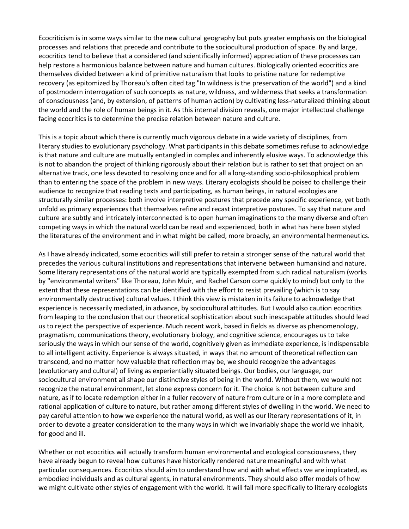Ecocriticism is in some ways similar to the new cultural geography but puts greater emphasis on the biological processes and relations that precede and contribute to the sociocultural production of space. By and large, ecocritics tend to believe that a considered (and scientifically informed) appreciation of these processes can help restore a harmonious balance between nature and human cultures. Biologically oriented ecocritics are themselves divided between a kind of primitive naturalism that looks to pristine nature for redemptive recovery (as epitomized by Thoreau's often cited tag "In wildness is the preservation of the world") and a kind of postmodern interrogation of such concepts as nature, wildness, and wilderness that seeks a transformation of consciousness (and, by extension, of patterns of human action) by cultivating less-naturalized thinking about the world and the role of human beings in it. As this internal division reveals, one major intellectual challenge facing ecocritics is to determine the precise relation between nature and culture.

This is a topic about which there is currently much vigorous debate in a wide variety of disciplines, from literary studies to evolutionary psychology. What participants in this debate sometimes refuse to acknowledge is that nature and culture are mutually entangled in complex and inherently elusive ways. To acknowledge this is not to abandon the project of thinking rigorously about their relation but is rather to set that project on an alternative track, one less devoted to resolving once and for all a long-standing socio-philosophical problem than to entering the space of the problem in new ways. Literary ecologists should be poised to challenge their audience to recognize that reading texts and participating, as human beings, in natural ecologies are structurally similar processes: both involve interpretive postures that precede any specific experience, yet both unfold as primary experiences that themselves refine and recast interpretive postures. To say that nature and culture are subtly and intricately interconnected is to open human imaginations to the many diverse and often competing ways in which the natural world can be read and experienced, both in what has here been styled the literatures of the environment and in what might be called, more broadly, an environmental hermeneutics.

As I have already indicated, some ecocritics will still prefer to retain a stronger sense of the natural world that precedes the various cultural institutions and representations that intervene between humankind and nature. Some literary representations of the natural world are typically exempted from such radical naturalism (works by "environmental writers" like Thoreau, John Muir, and Rachel Carson come quickly to mind) but only to the extent that these representations can be identified with the effort to resist prevailing (which is to say environmentally destructive) cultural values. I think this view is mistaken in its failure to acknowledge that experience is necessarily mediated, in advance, by sociocultural attitudes. But I would also caution ecocritics from leaping to the conclusion that our theoretical sophistication about such inescapable attitudes should lead us to reject the perspective of experience. Much recent work, based in fields as diverse as phenomenology, pragmatism, communications theory, evolutionary biology, and cognitive science, encourages us to take seriously the ways in which our sense of the world, cognitively given as immediate experience, is indispensable to all intelligent activity. Experience is always situated, in ways that no amount of theoretical reflection can transcend, and no matter how valuable that reflection may be, we should recognize the advantages (evolutionary and cultural) of living as experientially situated beings. Our bodies, our language, our sociocultural environment all shape our distinctive styles of being in the world. Without them, we would not recognize the natural environment, let alone express concern for it. The choice is not between culture and nature, as if to locate redemption either in a fuller recovery of nature from culture or in a more complete and rational application of culture to nature, but rather among different styles of dwelling in the world. We need to pay careful attention to how we experience the natural world, as well as our literary representations of it, in order to devote a greater consideration to the many ways in which we invariably shape the world we inhabit, for good and ill.

Whether or not ecocritics will actually transform human environmental and ecological consciousness, they have already begun to reveal how cultures have historically rendered nature meaningful and with what particular consequences. Ecocritics should aim to understand how and with what effects we are implicated, as embodied individuals and as cultural agents, in natural environments. They should also offer models of how we might cultivate other styles of engagement with the world. It will fall more specifically to literary ecologists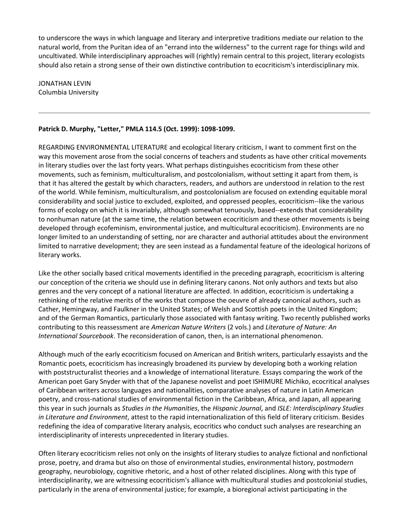to underscore the ways in which language and literary and interpretive traditions mediate our relation to the natural world, from the Puritan idea of an "errand into the wilderness" to the current rage for things wild and uncultivated. While interdisciplinary approaches will (rightly) remain central to this project, literary ecologists should also retain a strong sense of their own distinctive contribution to ecocriticism's interdisciplinary mix.

JONATHAN LEVIN Columbia University

## **Patrick D. Murphy, "Letter," PMLA 114.5 (Oct. 1999): 1098-1099.**

REGARDING ENVIRONMENTAL LITERATURE and ecological literary criticism, I want to comment first on the way this movement arose from the social concerns of teachers and students as have other critical movements in literary studies over the last forty years. What perhaps distinguishes ecocriticism from these other movements, such as feminism, multiculturalism, and postcolonialism, without setting it apart from them, is that it has altered the gestalt by which characters, readers, and authors are understood in relation to the rest of the world. While feminism, multiculturalism, and postcolonialism are focused on extending equitable moral considerability and social justice to excluded, exploited, and oppressed peoples, ecocriticism--like the various forms of ecology on which it is invariably, although somewhat tenuously, based--extends that considerability to nonhuman nature (at the same time, the relation between ecocriticism and these other movements is being developed through ecofeminism, environmental justice, and multicultural ecocriticism). Environments are no longer limited to an understanding of setting, nor are character and authorial attitudes about the environment limited to narrative development; they are seen instead as a fundamental feature of the ideological horizons of literary works.

Like the other socially based critical movements identified in the preceding paragraph, ecocriticism is altering our conception of the criteria we should use in defining literary canons. Not only authors and texts but also genres and the very concept of a national literature are affected. In addition, ecocriticism is undertaking a rethinking of the relative merits of the works that compose the oeuvre of already canonical authors, such as Cather, Hemingway, and Faulkner in the United States; of Welsh and Scottish poets in the United Kingdom; and of the German Romantics, particularly those associated with fantasy writing. Two recently published works contributing to this reassessment are *American Nature Writers* (2 vols.) and *Literature of Nature: An International Sourcebook*. The reconsideration of canon, then, is an international phenomenon.

Although much of the early ecocriticism focused on American and British writers, particularly essayists and the Romantic poets, ecocriticism has increasingly broadened its purview by developing both a working relation with poststructuralist theories and a knowledge of international literature. Essays comparing the work of the American poet Gary Snyder with that of the Japanese novelist and poet ISHIMURE Michiko, ecocritical analyses of Caribbean writers across languages and nationalities, comparative analyses of nature in Latin American poetry, and cross-national studies of environmental fiction in the Caribbean, Africa, and Japan, all appearing this year in such journals as *Studies in the Humanities*, the *Hispanic Journal*, and *ISLE: Interdisciplinary Studies in Literature and Environment*, attest to the rapid internationalization of this field of literary criticism. Besides redefining the idea of comparative literary analysis, ecocritics who conduct such analyses are researching an interdisciplinarity of interests unprecedented in literary studies.

Often literary ecocriticism relies not only on the insights of literary studies to analyze fictional and nonfictional prose, poetry, and drama but also on those of environmental studies, environmental history, postmodern geography, neurobiology, cognitive rhetoric, and a host of other related disciplines. Along with this type of interdisciplinarity, we are witnessing ecocriticism's alliance with multicultural studies and postcolonial studies, particularly in the arena of environmental justice; for example, a bioregional activist participating in the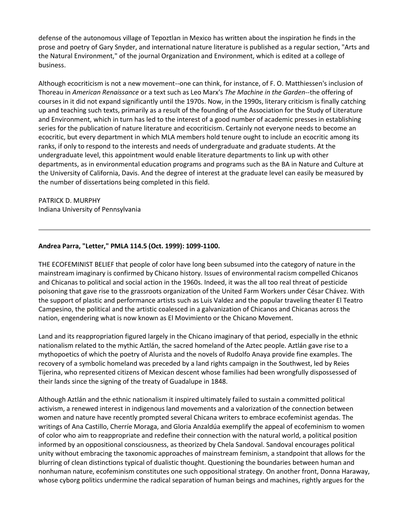defense of the autonomous village of Tepoztlan in Mexico has written about the inspiration he finds in the prose and poetry of Gary Snyder, and international nature literature is published as a regular section, "Arts and the Natural Environment," of the journal Organization and Environment, which is edited at a college of business.

Although ecocriticism is not a new movement--one can think, for instance, of F. O. Matthiessen's inclusion of Thoreau in *American Renaissance* or a text such as Leo Marx's *The Machine in the Garden*--the offering of courses in it did not expand significantly until the 1970s. Now, in the 1990s, literary criticism is finally catching up and teaching such texts, primarily as a result of the founding of the Association for the Study of Literature and Environment, which in turn has led to the interest of a good number of academic presses in establishing series for the publication of nature literature and ecocriticism. Certainly not everyone needs to become an ecocritic, but every department in which MLA members hold tenure ought to include an ecocritic among its ranks, if only to respond to the interests and needs of undergraduate and graduate students. At the undergraduate level, this appointment would enable literature departments to link up with other departments, as in environmental education programs and programs such as the BA in Nature and Culture at the University of California, Davis. And the degree of interest at the graduate level can easily be measured by the number of dissertations being completed in this field.

# PATRICK D. MURPHY

Indiana University of Pennsylvania

## **Andrea Parra, "Letter," PMLA 114.5 (Oct. 1999): 1099-1100.**

THE ECOFEMINIST BELIEF that people of color have long been subsumed into the category of nature in the mainstream imaginary is confirmed by Chicano history. Issues of environmental racism compelled Chicanos and Chicanas to political and social action in the 1960s. Indeed, it was the all too real threat of pesticide poisoning that gave rise to the grassroots organization of the United Farm Workers under César Chávez. With the support of plastic and performance artists such as Luis Valdez and the popular traveling theater El Teatro Campesino, the political and the artistic coalesced in a galvanization of Chicanos and Chicanas across the nation, engendering what is now known as El Movimiento or the Chicano Movement.

Land and its reappropriation figured largely in the Chicano imaginary of that period, especially in the ethnic nationalism related to the mythic Aztlán, the sacred homeland of the Aztec people. Aztlán gave rise to a mythopoetics of which the poetry of Alurista and the novels of Rudolfo Anaya provide fine examples. The recovery of a symbolic homeland was preceded by a land rights campaign in the Southwest, led by Reies Tijerina, who represented citizens of Mexican descent whose families had been wrongfully dispossessed of their lands since the signing of the treaty of Guadalupe in 1848.

Although Aztlán and the ethnic nationalism it inspired ultimately failed to sustain a committed political activism, a renewed interest in indigenous land movements and a valorization of the connection between women and nature have recently prompted several Chicana writers to embrace ecofeminist agendas. The writings of Ana Castillo, Cherríe Moraga, and Gloria Anzaldúa exemplify the appeal of ecofeminism to women of color who aim to reappropriate and redefine their connection with the natural world, a political position informed by an oppositional consciousness, as theorized by Chela Sandoval. Sandoval encourages political unity without embracing the taxonomic approaches of mainstream feminism, a standpoint that allows for the blurring of clean distinctions typical of dualistic thought. Questioning the boundaries between human and nonhuman nature, ecofeminism constitutes one such oppositional strategy. On another front, Donna Haraway, whose cyborg politics undermine the radical separation of human beings and machines, rightly argues for the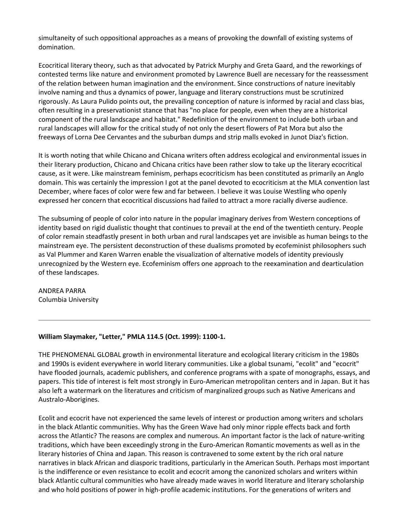simultaneity of such oppositional approaches as a means of provoking the downfall of existing systems of domination.

Ecocritical literary theory, such as that advocated by Patrick Murphy and Greta Gaard, and the reworkings of contested terms like nature and environment promoted by Lawrence Buell are necessary for the reassessment of the relation between human imagination and the environment. Since constructions of nature inevitably involve naming and thus a dynamics of power, language and literary constructions must be scrutinized rigorously. As Laura Pulido points out, the prevailing conception of nature is informed by racial and class bias, often resulting in a preservationist stance that has "no place for people, even when they are a historical component of the rural landscape and habitat." Redefinition of the environment to include both urban and rural landscapes will allow for the critical study of not only the desert flowers of Pat Mora but also the freeways of Lorna Dee Cervantes and the suburban dumps and strip malls evoked in Junot Diaz's fiction.

It is worth noting that while Chicano and Chicana writers often address ecological and environmental issues in their literary production, Chicano and Chicana critics have been rather slow to take up the literary ecocritical cause, as it were. Like mainstream feminism, perhaps ecocriticism has been constituted as primarily an Anglo domain. This was certainly the impression I got at the panel devoted to ecocriticism at the MLA convention last December, where faces of color were few and far between. I believe it was Louise Westling who openly expressed her concern that ecocritical discussions had failed to attract a more racially diverse audience.

The subsuming of people of color into nature in the popular imaginary derives from Western conceptions of identity based on rigid dualistic thought that continues to prevail at the end of the twentieth century. People of color remain steadfastly present in both urban and rural landscapes yet are invisible as human beings to the mainstream eye. The persistent deconstruction of these dualisms promoted by ecofeminist philosophers such as Val Plummer and Karen Warren enable the visualization of alternative models of identity previously unrecognized by the Western eye. Ecofeminism offers one approach to the reexamination and dearticulation of these landscapes.

ANDREA PARRA Columbia University

### **William Slaymaker, "Letter," PMLA 114.5 (Oct. 1999): 1100-1.**

THE PHENOMENAL GLOBAL growth in environmental literature and ecological literary criticism in the 1980s and 1990s is evident everywhere in world literary communities. Like a global tsunami, "ecolit" and "ecocrit" have flooded journals, academic publishers, and conference programs with a spate of monographs, essays, and papers. This tide of interest is felt most strongly in Euro-American metropolitan centers and in Japan. But it has also left a watermark on the literatures and criticism of marginalized groups such as Native Americans and Australo-Aborigines.

Ecolit and ecocrit have not experienced the same levels of interest or production among writers and scholars in the black Atlantic communities. Why has the Green Wave had only minor ripple effects back and forth across the Atlantic? The reasons are complex and numerous. An important factor is the lack of nature-writing traditions, which have been exceedingly strong in the Euro-American Romantic movements as well as in the literary histories of China and Japan. This reason is contravened to some extent by the rich oral nature narratives in black African and diasporic traditions, particularly in the American South. Perhaps most important is the indifference or even resistance to ecolit and ecocrit among the canonized scholars and writers within black Atlantic cultural communities who have already made waves in world literature and literary scholarship and who hold positions of power in high-profile academic institutions. For the generations of writers and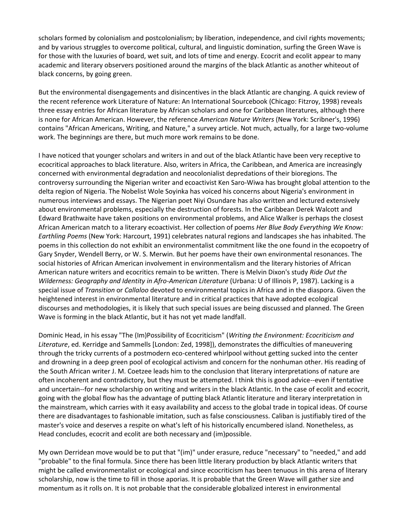scholars formed by colonialism and postcolonialism; by liberation, independence, and civil rights movements; and by various struggles to overcome political, cultural, and linguistic domination, surfing the Green Wave is for those with the luxuries of board, wet suit, and lots of time and energy. Ecocrit and ecolit appear to many academic and literary observers positioned around the margins of the black Atlantic as another whiteout of black concerns, by going green.

But the environmental disengagements and disincentives in the black Atlantic are changing. A quick review of the recent reference work Literature of Nature: An International Sourcebook (Chicago: Fitzroy, 1998) reveals three essay entries for African literature by African scholars and one for Caribbean literatures, although there is none for African American. However, the reference *American Nature Writers* (New York: Scribner's, 1996) contains "African Americans, Writing, and Nature," a survey article. Not much, actually, for a large two-volume work. The beginnings are there, but much more work remains to be done.

I have noticed that younger scholars and writers in and out of the black Atlantic have been very receptive to ecocritical approaches to black literature. Also, writers in Africa, the Caribbean, and America are increasingly concerned with environmental degradation and neocolonialist depredations of their bioregions. The controversy surrounding the Nigerian writer and ecoactivist Ken Saro-Wiwa has brought global attention to the delta region of Nigeria. The Nobelist Wole Soyinka has voiced his concerns about Nigeria's environment in numerous interviews and essays. The Nigerian poet Niyi Osundare has also written and lectured extensively about environmental problems, especially the destruction of forests. In the Caribbean Derek Walcott and Edward Brathwaite have taken positions on environmental problems, and Alice Walker is perhaps the closest African American match to a literary ecoactivist. Her collection of poems *Her Blue Body Everything We Know: Earthling Poems* (New York: Harcourt, 1991) celebrates natural regions and landscapes she has inhabited. The poems in this collection do not exhibit an environmentalist commitment like the one found in the ecopoetry of Gary Snyder, Wendell Berry, or W. S. Merwin. But her poems have their own environmental resonances. The social histories of African American involvement in environmentalism and the literary histories of African American nature writers and ecocritics remain to be written. There is Melvin Dixon's study *Ride Out the Wilderness: Geography and Identity in Afro-American Literature* (Urbana: U of Illinois P, 1987). Lacking is a special issue of *Transition* or *Callaloo* devoted to environmental topics in Africa and in the diaspora. Given the heightened interest in environmental literature and in critical practices that have adopted ecological discourses and methodologies, it is likely that such special issues are being discussed and planned. The Green Wave is forming in the black Atlantic, but it has not yet made landfall.

Dominic Head, in his essay "The (Im)Possibility of Ecocriticism" (*Writing the Environment: Ecocriticism and Literature*, ed. Kerridge and Sammells [London: Zed, 1998]), demonstrates the difficulties of maneuvering through the tricky currents of a postmodern eco-centered whirlpool without getting sucked into the center and drowning in a deep green pool of ecological activism and concern for the nonhuman other. His reading of the South African writer J. M. Coetzee leads him to the conclusion that literary interpretations of nature are often incoherent and contradictory, but they must be attempted. I think this is good advice--even if tentative and uncertain--for new scholarship on writing and writers in the black Atlantic. In the case of ecolit and ecocrit, going with the global flow has the advantage of putting black Atlantic literature and literary interpretation in the mainstream, which carries with it easy availability and access to the global trade in topical ideas. Of course there are disadvantages to fashionable imitation, such as false consciousness. Caliban is justifiably tired of the master's voice and deserves a respite on what's left of his historically encumbered island. Nonetheless, as Head concludes, ecocrit and ecolit are both necessary and (im)possible.

My own Derridean move would be to put that "(im)" under erasure, reduce "necessary" to "needed," and add "probable" to the final formula. Since there has been little literary production by black Atlantic writers that might be called environmentalist or ecological and since ecocriticism has been tenuous in this arena of literary scholarship, now is the time to fill in those aporias. It is probable that the Green Wave will gather size and momentum as it rolls on. It is not probable that the considerable globalized interest in environmental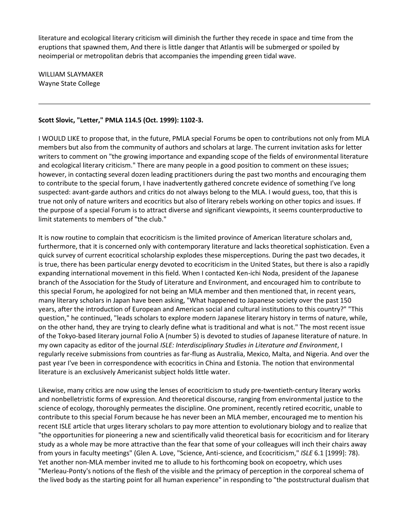literature and ecological literary criticism will diminish the further they recede in space and time from the eruptions that spawned them, And there is little danger that Atlantis will be submerged or spoiled by neoimperial or metropolitan debris that accompanies the impending green tidal wave.

WILLIAM SLAYMAKER Wayne State College

#### **Scott Slovic, "Letter," PMLA 114.5 (Oct. 1999): 1102-3.**

I WOULD LIKE to propose that, in the future, PMLA special Forums be open to contributions not only from MLA members but also from the community of authors and scholars at large. The current invitation asks for letter writers to comment on "the growing importance and expanding scope of the fields of environmental literature and ecological literary criticism." There are many people in a good position to comment on these issues; however, in contacting several dozen leading practitioners during the past two months and encouraging them to contribute to the special forum, I have inadvertently gathered concrete evidence of something I've long suspected: avant-garde authors and critics do not always belong to the MLA. I would guess, too, that this is true not only of nature writers and ecocritics but also of literary rebels working on other topics and issues. If the purpose of a special Forum is to attract diverse and significant viewpoints, it seems counterproductive to limit statements to members of "the club."

It is now routine to complain that ecocriticism is the limited province of American literature scholars and, furthermore, that it is concerned only with contemporary literature and lacks theoretical sophistication. Even a quick survey of current ecocritical scholarship explodes these misperceptions. During the past two decades, it is true, there has been particular energy devoted to ecocriticism in the United States, but there is also a rapidly expanding international movement in this field. When I contacted Ken-ichi Noda, president of the Japanese branch of the Association for the Study of Literature and Environment, and encouraged him to contribute to this special Forum, he apologized for not being an MLA member and then mentioned that, in recent years, many literary scholars in Japan have been asking, "What happened to Japanese society over the past 150 years, after the introduction of European and American social and cultural institutions to this country?" "This question," he continued, "leads scholars to explore modern Japanese literary history in terms of nature, while, on the other hand, they are trying to clearly define what is traditional and what is not." The most recent issue of the Tokyo-based literary journal Folio A (number 5) is devoted to studies of Japanese literature of nature. In my own capacity as editor of the journal *ISLE: Interdisciplinary Studies in Literature and Environment*, I regularly receive submissions from countries as far-flung as Australia, Mexico, Malta, and Nigeria. And over the past year I've been in correspondence with ecocritics in China and Estonia. The notion that environmental literature is an exclusively Americanist subject holds little water.

Likewise, many critics are now using the lenses of ecocriticism to study pre-twentieth-century literary works and nonbelletristic forms of expression. And theoretical discourse, ranging from environmental justice to the science of ecology, thoroughly permeates the discipline. One prominent, recently retired ecocritic, unable to contribute to this special Forum because he has never been an MLA member, encouraged me to mention his recent ISLE article that urges literary scholars to pay more attention to evolutionary biology and to realize that "the opportunities for pioneering a new and scientifically valid theoretical basis for ecocriticism and for literary study as a whole may be more attractive than the fear that some of your colleagues will inch their chairs away from yours in faculty meetings" (Glen A. Love, "Science, Anti-science, and Ecocriticism," *ISLE* 6.1 [1999]: 78). Yet another non-MLA member invited me to allude to his forthcoming book on ecopoetry, which uses "Merleau-Ponty's notions of the flesh of the visible and the primacy of perception in the corporeal schema of the lived body as the starting point for all human experience" in responding to "the poststructural dualism that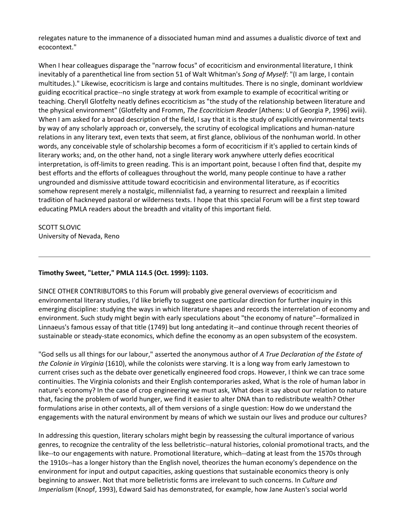relegates nature to the immanence of a dissociated human mind and assumes a dualistic divorce of text and ecocontext."

When I hear colleagues disparage the "narrow focus" of ecocriticism and environmental literature, I think inevitably of a parenthetical line from section 51 of Walt Whitman's *Song of Myself*: "(I am large, I contain multitudes.)." Likewise, ecocriticism is large and contains multitudes. There is no single, dominant worldview guiding ecocritical practice--no single strategy at work from example to example of ecocritical writing or teaching. Cheryll Glotfelty neatly defines ecocriticism as "the study of the relationship between literature and the physical environment" (Glotfelty and Fromm, *The Ecocriticism Reader* [Athens: U of Georgia P, 1996] xviii). When I am asked for a broad description of the field, I say that it is the study of explicitly environmental texts by way of any scholarly approach or, conversely, the scrutiny of ecological implications and human-nature relations in any literary text, even texts that seem, at first glance, oblivious of the nonhuman world. In other words, any conceivable style of scholarship becomes a form of ecocriticism if it's applied to certain kinds of literary works; and, on the other hand, not a single literary work anywhere utterly defies ecocritical interpretation, is off-limits to green reading. This is an important point, because I often find that, despite my best efforts and the efforts of colleagues throughout the world, many people continue to have a rather ungrounded and dismissive attitude toward ecocriticisin and environmental literature, as if ecocritics somehow represent merely a nostalgic, millennialist fad, a yearning to resurrect and reexplain a limited tradition of hackneyed pastoral or wilderness texts. I hope that this special Forum will be a first step toward educating PMLA readers about the breadth and vitality of this important field.

SCOTT SLOVIC University of Nevada, Reno

### **Timothy Sweet, "Letter," PMLA 114.5 (Oct. 1999): 1103.**

SINCE OTHER CONTRIBUTORS to this Forum will probably give general overviews of ecocriticism and environmental literary studies, I'd like briefly to suggest one particular direction for further inquiry in this emerging discipline: studying the ways in which literature shapes and records the interrelation of economy and environment. Such study might begin with early speculations about "the economy of nature"--formalized in Linnaeus's famous essay of that title (1749) but long antedating it--and continue through recent theories of sustainable or steady-state economics, which define the economy as an open subsystem of the ecosystem.

"God sells us all things for our labour," asserted the anonymous author of *A True Declaration of the Estate of the Colonie in Virginia* (1610), while the colonists were starving. It is a long way from early Jamestown to current crises such as the debate over genetically engineered food crops. However, I think we can trace some continuities. The Virginia colonists and their English contemporaries asked, What is the role of human labor in nature's economy? In the case of crop engineering we must ask, What does it say about our relation to nature that, facing the problem of world hunger, we find it easier to alter DNA than to redistribute wealth? Other formulations arise in other contexts, all of them versions of a single question: How do we understand the engagements with the natural environment by means of which we sustain our lives and produce our cultures?

In addressing this question, literary scholars might begin by reassessing the cultural importance of various genres, to recognize the centrality of the less belletristic--natural histories, colonial promotional tracts, and the like--to our engagements with nature. Promotional literature, which--dating at least from the 1570s through the 1910s--has a longer history than the English novel, theorizes the human economy's dependence on the environment for input and output capacities, asking questions that sustainable economics theory is only beginning to answer. Not that more belletristic forms are irrelevant to such concerns. In *Culture and Imperialism* (Knopf, 1993), Edward Said has demonstrated, for example, how Jane Austen's social world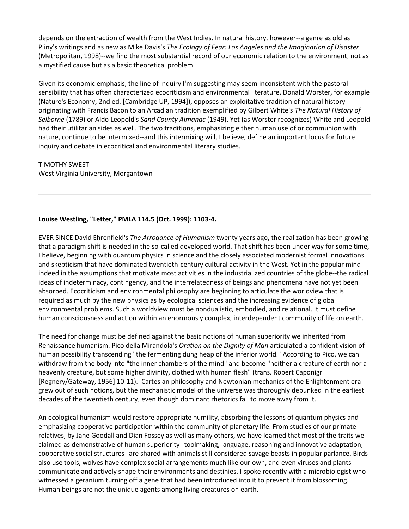depends on the extraction of wealth from the West Indies. In natural history, however--a genre as old as Pliny's writings and as new as Mike Davis's *The Ecology of Fear: Los Angeles and the Imagination of Disaster* (Metropolitan, 1998)--we find the most substantial record of our economic relation to the environment, not as a mystified cause but as a basic theoretical problem.

Given its economic emphasis, the line of inquiry I'm suggesting may seem inconsistent with the pastoral sensibility that has often characterized ecocriticism and environmental literature. Donald Worster, for example (Nature's Economy, 2nd ed. [Cambridge UP, 1994]), opposes an exploitative tradition of natural history originating with Francis Bacon to an Arcadian tradition exemplified by Gilbert White's *The Natural History of Selborne* (1789) or Aldo Leopold's *Sand County Almanac* (1949). Yet (as Worster recognizes) White and Leopold had their utilitarian sides as well. The two traditions, emphasizing either human use of or communion with nature, continue to be intermixed--and this intermixing will, I believe, define an important locus for future inquiry and debate in ecocritical and environmental literary studies.

TIMOTHY SWEET West Virginia University, Morgantown

## **Louise Westling, "Letter," PMLA 114.5 (Oct. 1999): 1103-4.**

EVER SINCE David Ehrenfield's *The Arrogance of Humanism* twenty years ago, the realization has been growing that a paradigm shift is needed in the so-called developed world. That shift has been under way for some time, I believe, beginning with quantum physics in science and the closely associated modernist formal innovations and skepticism that have dominated twentieth-century cultural activity in the West. Yet in the popular mind- indeed in the assumptions that motivate most activities in the industrialized countries of the globe--the radical ideas of indeterminacy, contingency, and the interrelatedness of beings and phenomena have not yet been absorbed. Ecocriticism and environmental philosophy are beginning to articulate the worldview that is required as much by the new physics as by ecological sciences and the increasing evidence of global environmental problems. Such a worldview must be nondualistic, embodied, and relational. It must define human consciousness and action within an enormously complex, interdependent community of life on earth.

The need for change must be defined against the basic notions of human superiority we inherited from Renaissance humanism. Pico della Mirandola's *Oration on the Dignity of Man* articulated a confident vision of human possibility transcending "the fermenting dung heap of the inferior world." According to Pico, we can withdraw from the body into "the inner chambers of the mind" and become "neither a creature of earth nor a heavenly creature, but some higher divinity, clothed with human flesh" (trans. Robert Caponigri [Regnery/Gateway, 1956] 10-11). Cartesian philosophy and Newtonian mechanics of the Enlightenment era grew out of such notions, but the mechanistic model of the universe was thoroughly debunked in the earliest decades of the twentieth century, even though dominant rhetorics fail to move away from it.

An ecological humanism would restore appropriate humility, absorbing the lessons of quantum physics and emphasizing cooperative participation within the community of planetary life. From studies of our primate relatives, by Jane Goodall and Dian Fossey as well as many others, we have learned that most of the traits we claimed as demonstrative of human superiority--toolmaking, language, reasoning and innovative adaptation, cooperative social structures--are shared with animals still considered savage beasts in popular parlance. Birds also use tools, wolves have complex social arrangements much like our own, and even viruses and plants communicate and actively shape their environments and destinies. I spoke recently with a microbiologist who witnessed a geranium turning off a gene that had been introduced into it to prevent it from blossoming. Human beings are not the unique agents among living creatures on earth.